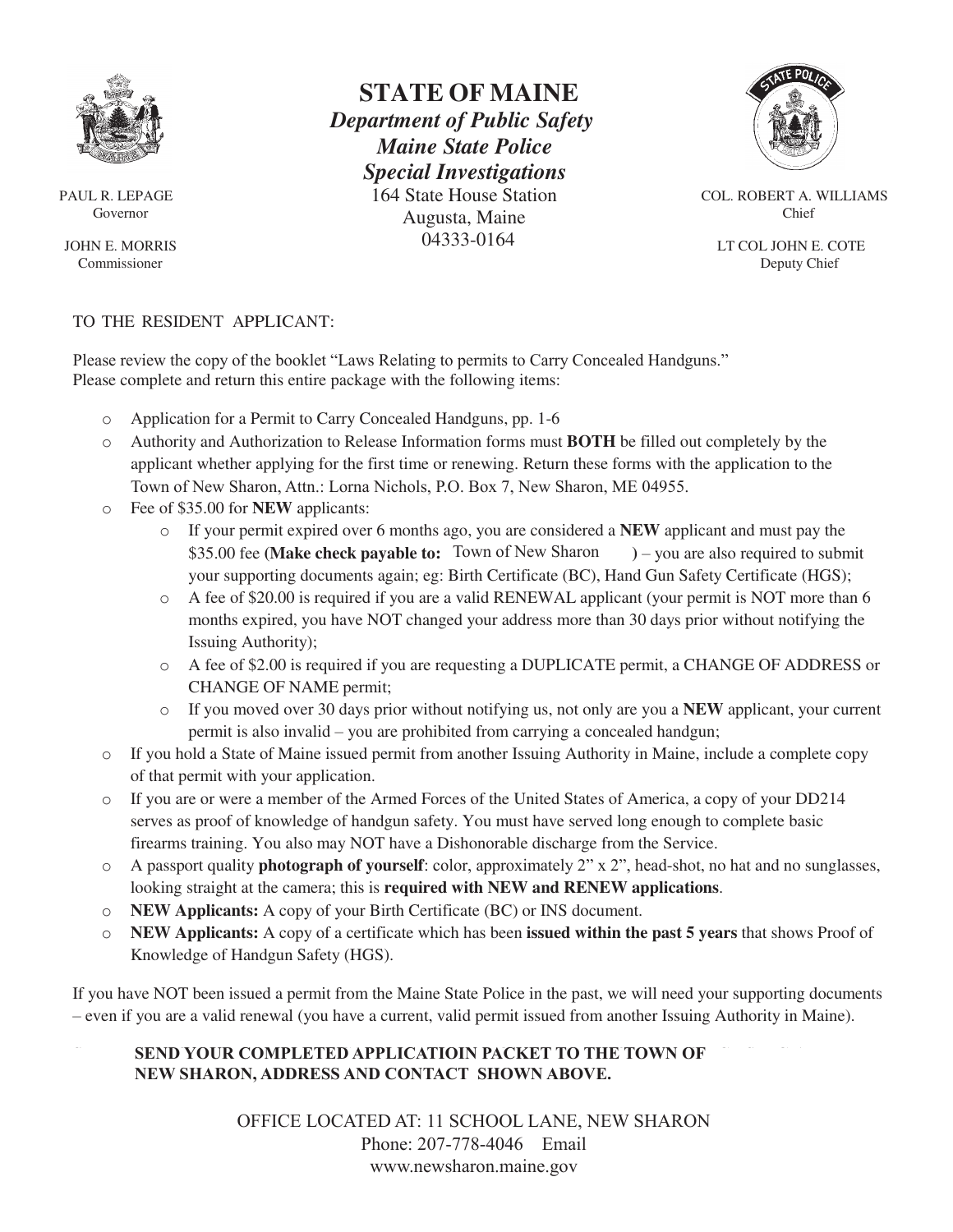

PAUL R. LEPAGE Governor

JOHN E. MORRIS Commissioner

## **STATE OF MAINE**   *Department of Public Safety Maine State Police Special Investigations* 164 State House Station Augusta, Maine 04333-0164



COL. ROBERT A. WILLIAMS Chief

 LT COL JOHN E. COTE Deputy Chief

## TO THE RESIDENT APPLICANT:

Please review the copy of the booklet "Laws Relating to permits to Carry Concealed Handguns." Please complete and return this entire package with the following items:

- o Application for a Permit to Carry Concealed Handguns, pp. 1-6
- o Authority and Authorization to Release Information forms must **BOTH** be filled out completely by the applicant whether applying for the first time or renewing. Return these forms with the application to the Town of New Sharon, Attn.: Lorna Nichols, P.O. Box 7, New Sharon, ME 04955.
- o Fee of \$35.00 for **NEW** applicants:
	- o If your permit expired over 6 months ago, you are considered a **NEW** applicant and must pay the \$35.00 fee (Make check payable to: Town of New Sharon ) – you are also required to submit your supporting documents again; eg: Birth Certificate (BC), Hand Gun Safety Certificate (HGS);
	- o A fee of \$20.00 is required if you are a valid RENEWAL applicant (your permit is NOT more than 6 months expired, you have NOT changed your address more than 30 days prior without notifying the Issuing Authority);
	- o A fee of \$2.00 is required if you are requesting a DUPLICATE permit, a CHANGE OF ADDRESS or CHANGE OF NAME permit;
	- o If you moved over 30 days prior without notifying us, not only are you a **NEW** applicant, your current permit is also invalid – you are prohibited from carrying a concealed handgun;
- o If you hold a State of Maine issued permit from another Issuing Authority in Maine, include a complete copy of that permit with your application.
- o If you are or were a member of the Armed Forces of the United States of America, a copy of your DD214 serves as proof of knowledge of handgun safety. You must have served long enough to complete basic firearms training. You also may NOT have a Dishonorable discharge from the Service.
- o A passport quality **photograph of yourself**: color, approximately 2" x 2", head-shot, no hat and no sunglasses, looking straight at the camera; this is **required with NEW and RENEW applications**.
- o **NEW Applicants:** A copy of your Birth Certificate (BC) or INS document.
- o **NEW Applicants:** A copy of a certificate which has been **issued within the past 5 years** that shows Proof of Knowledge of Handgun Safety (HGS).

If you have NOT been issued a permit from the Maine State Police in the past, we will need your supporting documents – even if you are a valid renewal (you have a current, valid permit issued from another Issuing Authority in Maine).

## **SEND YOUR COMPLETED APPLICATIOIN PACKET TO THE TOWN OF NEW SHARON, ADDRESS AND CONTACT SHOWN ABOVE.**

OFFICE LOCATED AT: 11 SCHOOL LANE, NEW SHARON Phone: 207-778-4046 [Email](mailto:selectperson.nichols%40gmail.com?subject=Concealed%20Weapons%20Permit%20Application%20) [www.newsharon.maine.gov](http://www.newsharon.maine.gov)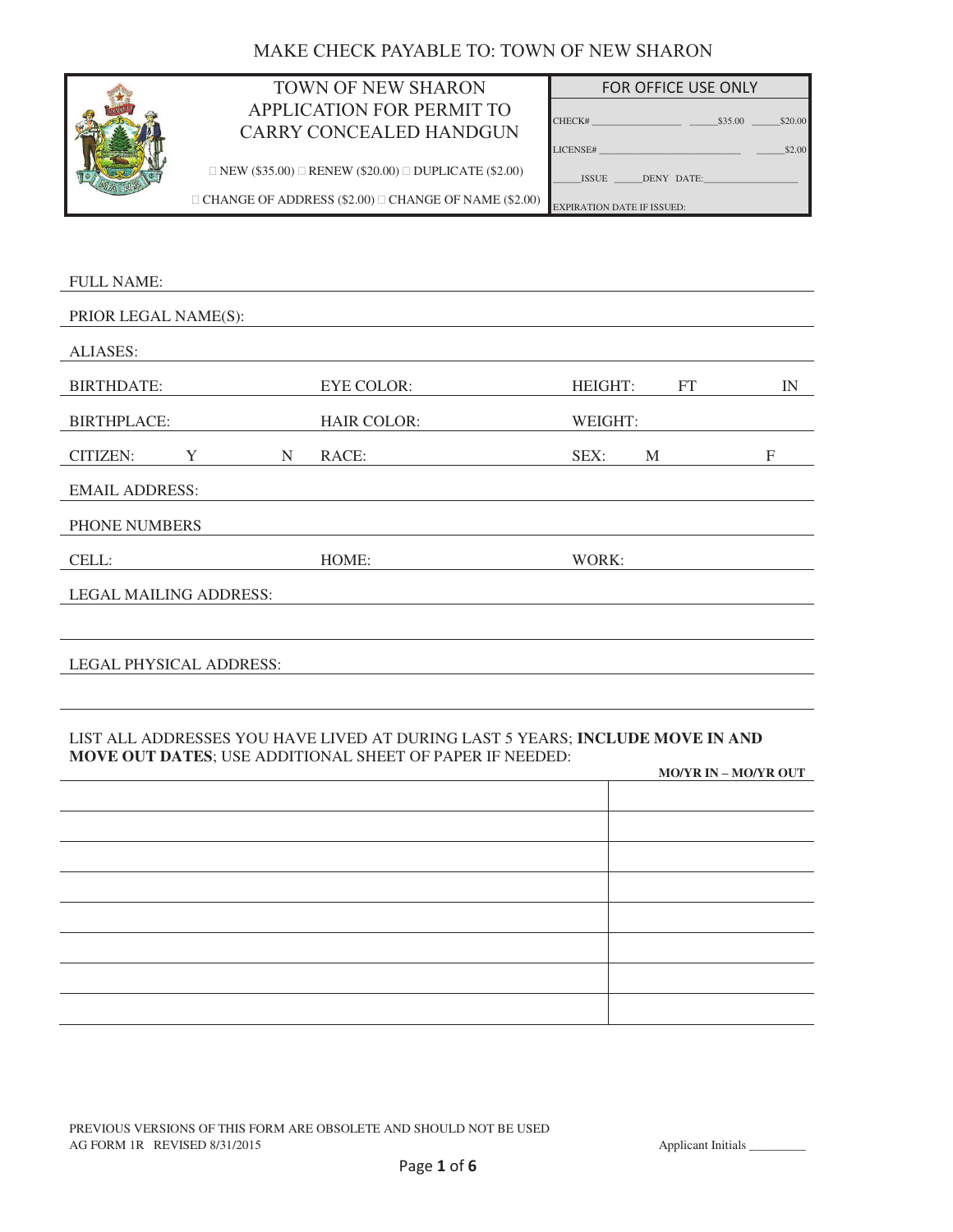# MAKE CHECK PAYABLE TO: TOWN OF NEW SHARON



# APPLICATION FOR PERMIT APPLICATION FOR PERMIT TO CARRY CONCEALED HANDGUN

| TOWN OF NEW SHARON                                    | <b>FOR OFFICE USE ONLY</b>        |
|-------------------------------------------------------|-----------------------------------|
| PLICATION FOR PERMIT TO<br>RY CONCEALED HANDGUN       | \$20.00                           |
|                                                       | LICENSE#<br>\$2.00                |
| .00) $\Box$ RENEW (\$20.00) $\Box$ DUPLICATE (\$2.00) | ISSUE DENY DATE:                  |
| ADDRESS $(\$2.00)$ $\Box$ CHANGE OF NAME $(\$2.00)$   | <b>EXPIRATION DATE IF ISSUED:</b> |

 $\square\text{ NEW ($35.00})\ \square\ \text{RENEW ($20.00})\ \square\ \text{DUPLICATE ($2.00})$ 

 $\Box$  CHANGE OF ADDRESS (\$2.00)  $\Box$  CHANGE OF NAME (\$2.00)

| <b>HEIGHT:</b><br>FT | IN               |
|----------------------|------------------|
| WEIGHT:              |                  |
| SEX:<br>M            | $\boldsymbol{F}$ |
|                      |                  |
|                      |                  |
| WORK:                |                  |
|                      |                  |
|                      |                  |
|                      |                  |
|                      |                  |

#### LIST ALL ADDRESSES YOU HAVE LIVED AT DURING LAST 5 YEARS; **INCLUDE MOVE IN AND MOVE OUT DATES**; USE ADDITIONAL SHEET OF PAPER IF NEEDED:

| <b>MO/YR IN – MO/YR OUT</b> |
|-----------------------------|
|                             |
|                             |
|                             |
|                             |
|                             |
|                             |
|                             |
|                             |
|                             |

PREVIOUS VERSIONS OF THIS FORM ARE OBSOLETE AND SHOULD NOT BE USED AG FORM 1R REVISED 8/31/2015 Applicant Initials Applicant Initials Applicant Initials Applicant Initials Applicant Initials Applicant Initials Applicant Initials Applicant Initials Applicant Initials Applicant Initials App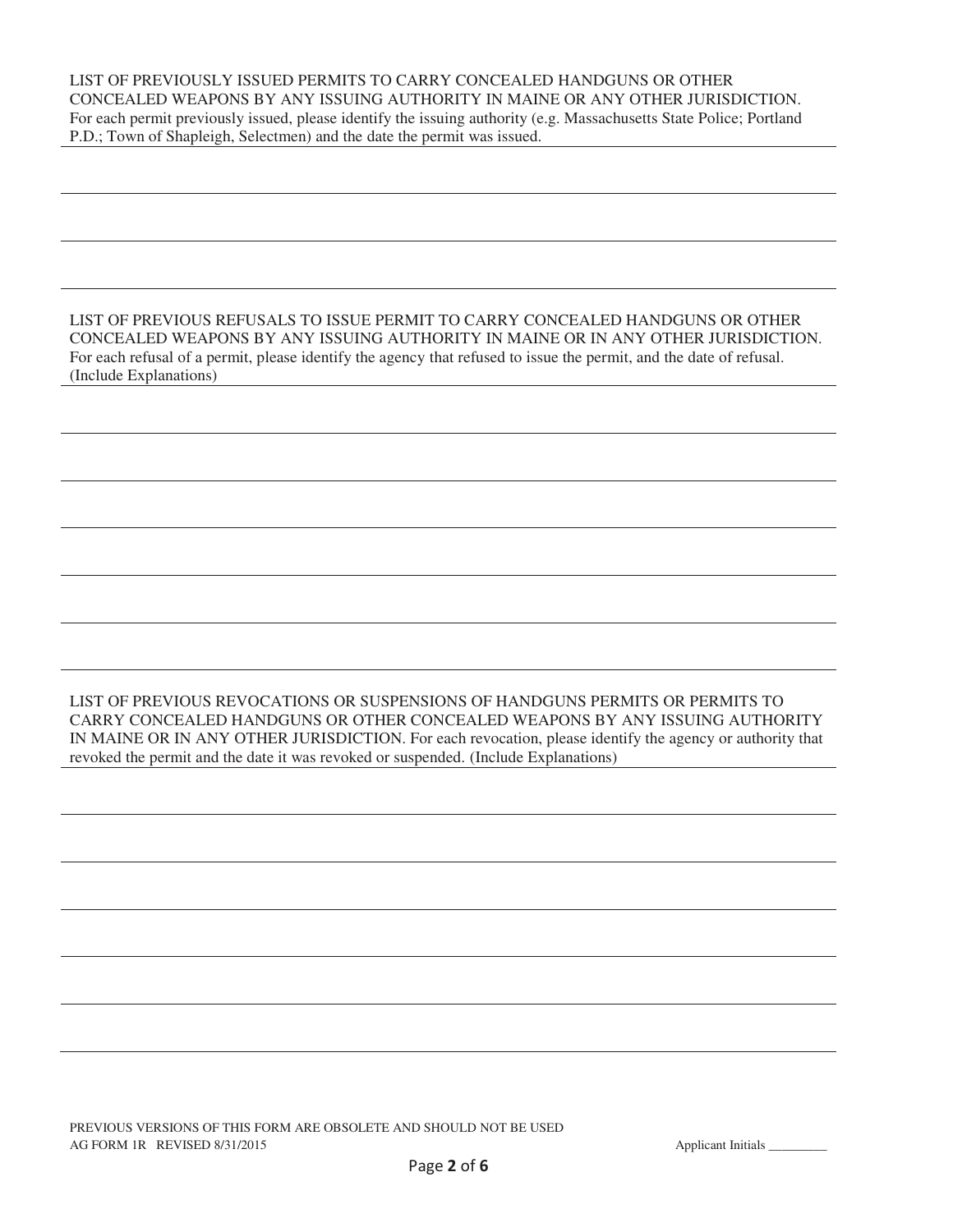LIST OF PREVIOUSLY ISSUED PERMITS TO CARRY CONCEALED HANDGUNS OR OTHER CONCEALED WEAPONS BY ANY ISSUING AUTHORITY IN MAINE OR ANY OTHER JURISDICTION. For each permit previously issued, please identify the issuing authority (e.g. Massachusetts State Police; Portland P.D.; Town of Shapleigh, Selectmen) and the date the permit was issued.

LIST OF PREVIOUS REFUSALS TO ISSUE PERMIT TO CARRY CONCEALED HANDGUNS OR OTHER CONCEALED WEAPONS BY ANY ISSUING AUTHORITY IN MAINE OR IN ANY OTHER JURISDICTION. For each refusal of a permit, please identify the agency that refused to issue the permit, and the date of refusal. (Include Explanations)

LIST OF PREVIOUS REVOCATIONS OR SUSPENSIONS OF HANDGUNS PERMITS OR PERMITS TO CARRY CONCEALED HANDGUNS OR OTHER CONCEALED WEAPONS BY ANY ISSUING AUTHORITY IN MAINE OR IN ANY OTHER JURISDICTION. For each revocation, please identify the agency or authority that revoked the permit and the date it was revoked or suspended. (Include Explanations)

PREVIOUS VERSIONS OF THIS FORM ARE OBSOLETE AND SHOULD NOT BE USED AG FORM 1R REVISED 8/31/2015 **Applicant Initials** 1.1 Applicant Initials 1.1 Applicant Initials 1.1 Applicant Initials 1.1 Applicant Initials 1.1 Applicant Initials 1.1 Applicant Initials 1.1 Applicant Initials 1.1 Applica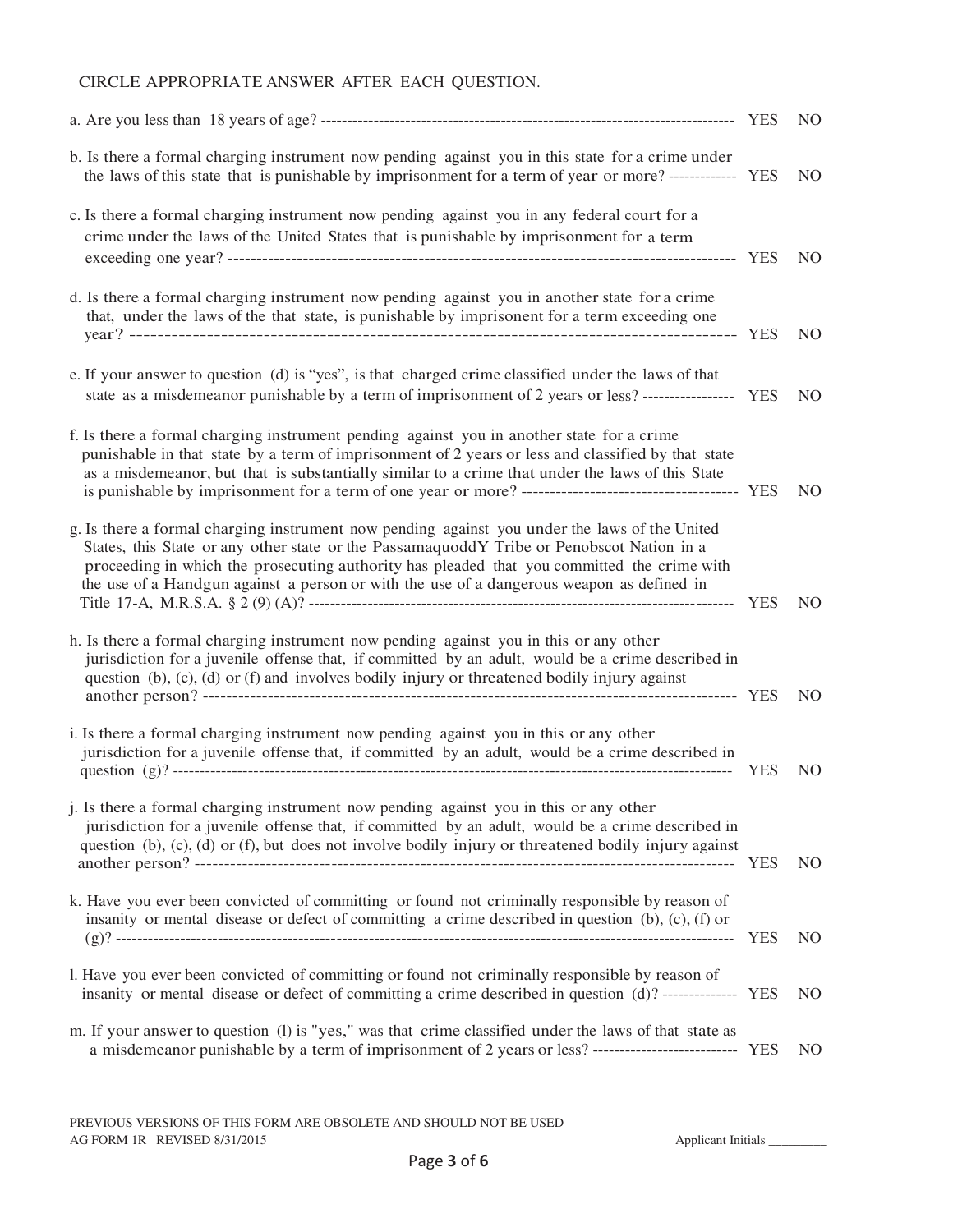## CIRCLE APPROPRIATE ANSWER AFTER EACH QUESTION.

|                                                                                                                                                                                                                                                                                                                                                                                        |            | NO.            |
|----------------------------------------------------------------------------------------------------------------------------------------------------------------------------------------------------------------------------------------------------------------------------------------------------------------------------------------------------------------------------------------|------------|----------------|
| b. Is there a formal charging instrument now pending against you in this state for a crime under<br>the laws of this state that is punishable by imprisonment for a term of year or more? ------------- YES                                                                                                                                                                            |            | N <sub>O</sub> |
| c. Is there a formal charging instrument now pending against you in any federal court for a<br>crime under the laws of the United States that is punishable by imprisonment for a term                                                                                                                                                                                                 |            | N <sub>O</sub> |
| d. Is there a formal charging instrument now pending against you in another state for a crime<br>that, under the laws of the that state, is punishable by imprisonent for a term exceeding one                                                                                                                                                                                         |            | N <sub>O</sub> |
| e. If your answer to question (d) is "yes", is that charged crime classified under the laws of that<br>state as a misdemeanor punishable by a term of imprisonment of 2 years or less? ------------------ YES                                                                                                                                                                          |            | N <sub>O</sub> |
| f. Is there a formal charging instrument pending against you in another state for a crime<br>punishable in that state by a term of imprisonment of 2 years or less and classified by that state<br>as a misdemeanor, but that is substantially similar to a crime that under the laws of this State                                                                                    |            | NO.            |
| g. Is there a formal charging instrument now pending against you under the laws of the United<br>States, this State or any other state or the PassamaguoddY Tribe or Penobscot Nation in a<br>proceeding in which the prosecuting authority has pleaded that you committed the crime with<br>the use of a Handgun against a person or with the use of a dangerous weapon as defined in |            | N <sub>O</sub> |
| h. Is there a formal charging instrument now pending against you in this or any other<br>jurisdiction for a juvenile offense that, if committed by an adult, would be a crime described in<br>question (b), (c), (d) or (f) and involves bodily injury or threatened bodily injury against                                                                                             |            | N <sub>O</sub> |
| i. Is there a formal charging instrument now pending against you in this or any other<br>jurisdiction for a juvenile offense that, if committed by an adult, would be a crime described in                                                                                                                                                                                             | <b>YES</b> | N <sub>O</sub> |
| j. Is there a formal charging instrument now pending against you in this or any other<br>jurisdiction for a juvenile offense that, if committed by an adult, would be a crime described in<br>question $(b)$ , $(c)$ , $(d)$ or $(f)$ , but does not involve bodily injury or threatened bodily injury against                                                                         |            | NO.            |
| k. Have you ever been convicted of committing or found not criminally responsible by reason of<br>insanity or mental disease or defect of committing a crime described in question $(b)$ , $(c)$ , $(f)$ or                                                                                                                                                                            | <b>YES</b> | NO.            |
| 1. Have you ever been convicted of committing or found not criminally responsible by reason of<br>insanity or mental disease or defect of committing a crime described in question (d)? -------------- YES                                                                                                                                                                             |            | NO.            |
| m. If your answer to question (l) is "yes," was that crime classified under the laws of that state as<br>a misdemeanor punishable by a term of imprisonment of 2 years or less? --------------------------- YES                                                                                                                                                                        |            | NO.            |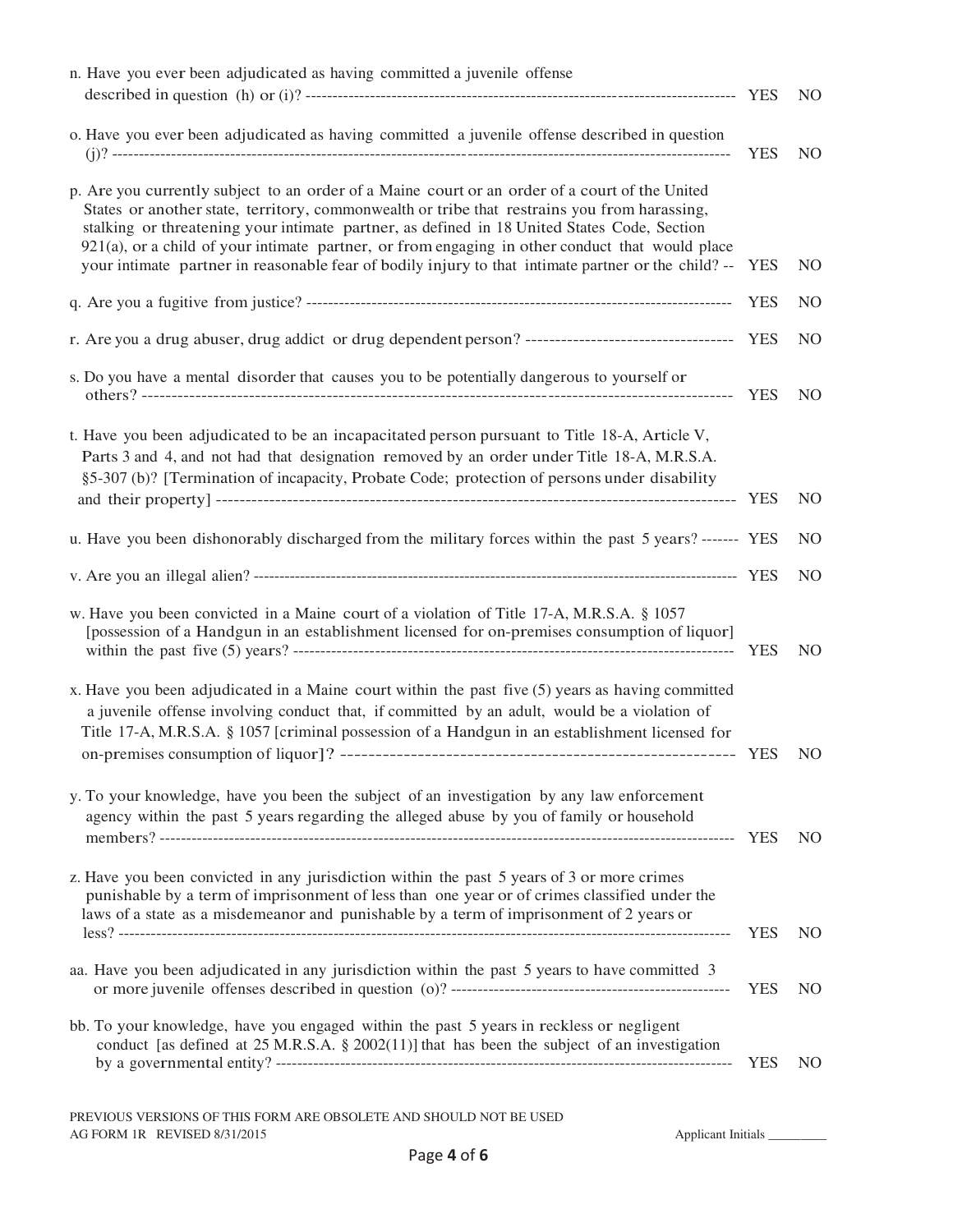| n. Have you ever been adjudicated as having committed a juvenile offense                                                                                                                                                                                                                                                                                                                                                                                                                                    |            | N <sub>O</sub> |
|-------------------------------------------------------------------------------------------------------------------------------------------------------------------------------------------------------------------------------------------------------------------------------------------------------------------------------------------------------------------------------------------------------------------------------------------------------------------------------------------------------------|------------|----------------|
| o. Have you ever been adjudicated as having committed a juvenile offense described in question                                                                                                                                                                                                                                                                                                                                                                                                              | <b>YES</b> | N <sub>O</sub> |
| p. Are you currently subject to an order of a Maine court or an order of a court of the United<br>States or another state, territory, commonwealth or tribe that restrains you from harassing,<br>stalking or threatening your intimate partner, as defined in 18 United States Code, Section<br>921(a), or a child of your intimate partner, or from engaging in other conduct that would place<br>your intimate partner in reasonable fear of bodily injury to that intimate partner or the child? -- YES |            | N <sub>O</sub> |
|                                                                                                                                                                                                                                                                                                                                                                                                                                                                                                             | <b>YES</b> | N <sub>O</sub> |
| r. Are you a drug abuser, drug addict or drug dependent person? ----------------------------------- YES                                                                                                                                                                                                                                                                                                                                                                                                     |            | NO             |
| s. Do you have a mental disorder that causes you to be potentially dangerous to yourself or                                                                                                                                                                                                                                                                                                                                                                                                                 | <b>YES</b> | N <sub>O</sub> |
| t. Have you been adjudicated to be an incapacitated person pursuant to Title 18-A, Article V,<br>Parts 3 and 4, and not had that designation removed by an order under Title 18-A, M.R.S.A.<br>§5-307 (b)? [Termination of incapacity, Probate Code; protection of persons under disability                                                                                                                                                                                                                 |            | NO.            |
| u. Have you been dishonorably discharged from the military forces within the past 5 years? ------- YES                                                                                                                                                                                                                                                                                                                                                                                                      |            | N <sub>O</sub> |
|                                                                                                                                                                                                                                                                                                                                                                                                                                                                                                             |            | N <sub>O</sub> |
| w. Have you been convicted in a Maine court of a violation of Title 17-A, M.R.S.A. § 1057<br>[possession of a Handgun in an establishment licensed for on-premises consumption of liquor]                                                                                                                                                                                                                                                                                                                   | YES        | N <sub>O</sub> |
| x. Have you been adjudicated in a Maine court within the past five (5) years as having committed<br>a juvenile offense involving conduct that, if committed by an adult, would be a violation of<br>Title 17-A, M.R.S.A. § 1057 [criminal possession of a Handgun in an establishment licensed for                                                                                                                                                                                                          |            | NO.            |
| y. To your knowledge, have you been the subject of an investigation by any law enforcement<br>agency within the past 5 years regarding the alleged abuse by you of family or household                                                                                                                                                                                                                                                                                                                      |            | N <sub>O</sub> |
| z. Have you been convicted in any jurisdiction within the past 5 years of 3 or more crimes<br>punishable by a term of imprisonment of less than one year or of crimes classified under the<br>laws of a state as a misdemeanor and punishable by a term of imprisonment of 2 years or                                                                                                                                                                                                                       | <b>YES</b> | N <sub>O</sub> |
| aa. Have you been adjudicated in any jurisdiction within the past 5 years to have committed 3                                                                                                                                                                                                                                                                                                                                                                                                               | <b>YES</b> | N <sub>O</sub> |
| bb. To your knowledge, have you engaged within the past 5 years in reckless or negligent<br>conduct [as defined at 25 M.R.S.A. § 2002(11)] that has been the subject of an investigation                                                                                                                                                                                                                                                                                                                    | <b>YES</b> | NO.            |
| PREVIOUS VERSIONS OF THIS FORM ARE OBSOLETE AND SHOULD NOT BE USED                                                                                                                                                                                                                                                                                                                                                                                                                                          |            |                |

AG FORM 1R REVISED 8/31/2015 Applicant Initials \_\_\_\_\_\_\_\_\_\_\_\_\_\_\_\_\_\_\_\_\_\_\_\_\_\_\_\_\_\_\_\_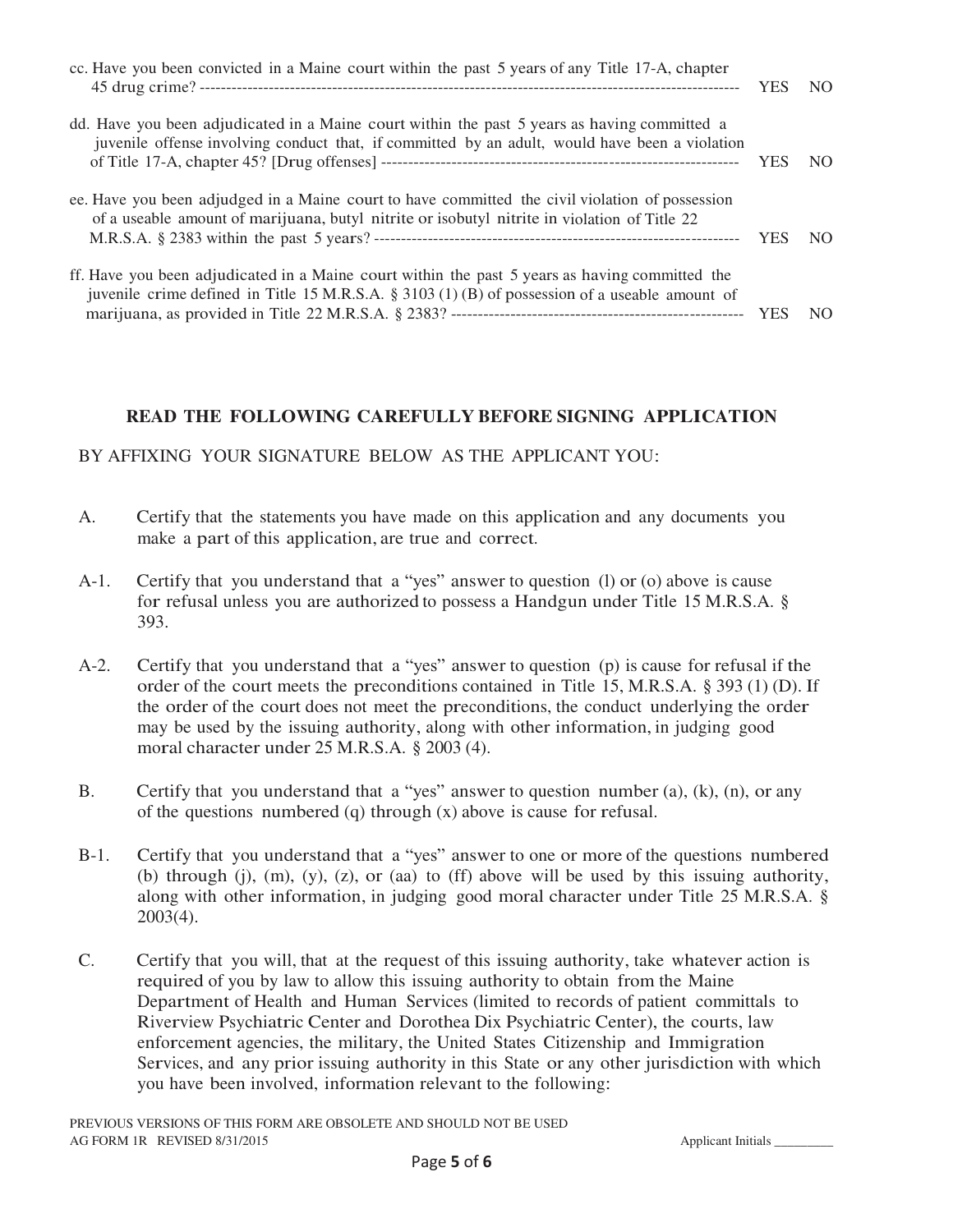| cc. Have you been convicted in a Maine court within the past 5 years of any Title 17-A, chapter                                                                                                   | <b>YES</b> | N <sub>O</sub> |
|---------------------------------------------------------------------------------------------------------------------------------------------------------------------------------------------------|------------|----------------|
| dd. Have you been adjudicated in a Maine court within the past 5 years as having committed a<br>juvenile offense involving conduct that, if committed by an adult, would have been a violation    | <b>YES</b> | N <sub>O</sub> |
| ee. Have you been adjudged in a Maine court to have committed the civil violation of possession<br>of a useable amount of marijuana, butyl nitrite or isobutyl nitrite in violation of Title 22   | <b>YES</b> | N <sub>O</sub> |
| ff. Have you been adjudicated in a Maine court within the past 5 years as having committed the<br>juvenile crime defined in Title 15 M.R.S.A. § 3103 (1) (B) of possession of a useable amount of | <b>YES</b> | NO.            |

## **READ THE FOLLOWING CAREFULLY BEFORE SIGNING APPLICATION**

### BY AFFIXING YOUR SIGNATURE BELOW AS THE APPLICANT YOU:

- A. Certify that the statements you have made on this application and any documents you make a part of this application, are true and correct.
- A-1. Certify that you understand that a "yes" answer to question (l) or (o) above is cause for refusal unless you are authorized to possess a Handgun under Title 15 M.R.S.A. § 393.
- A-2. Certify that you understand that a "yes" answer to question (p) is cause for refusal if the order of the court meets the preconditions contained in Title 15, M.R.S.A. § 393 (1) (D). If the order of the court does not meet the preconditions, the conduct underlying the order may be used by the issuing authority, along with other information, in judging good moral character under 25 M.R.S.A. § 2003 (4).
- B. Certify that you understand that a "yes" answer to question number (a), (k), (n), or any of the questions numbered (q) through  $(x)$  above is cause for refusal.
- B-1. Certify that you understand that a "yes" answer to one or more of the questions numbered (b) through (j),  $(m)$ ,  $(y)$ ,  $(z)$ , or  $(aa)$  to  $(ff)$  above will be used by this issuing authority, along with other information, in judging good moral character under Title 25 M.R.S.A. § 2003(4).
- C. Certify that you will, that at the request of this issuing authority, take whatever action is required of you by law to allow this issuing authority to obtain from the Maine Department of Health and Human Services (limited to records of patient committals to Riverview Psychiatric Center and Dorothea Dix Psychiatric Center), the courts, law enforcement agencies, the military, the United States Citizenship and Immigration Services, and any prior issuing authority in this State or any other jurisdiction with which you have been involved, information relevant to the following: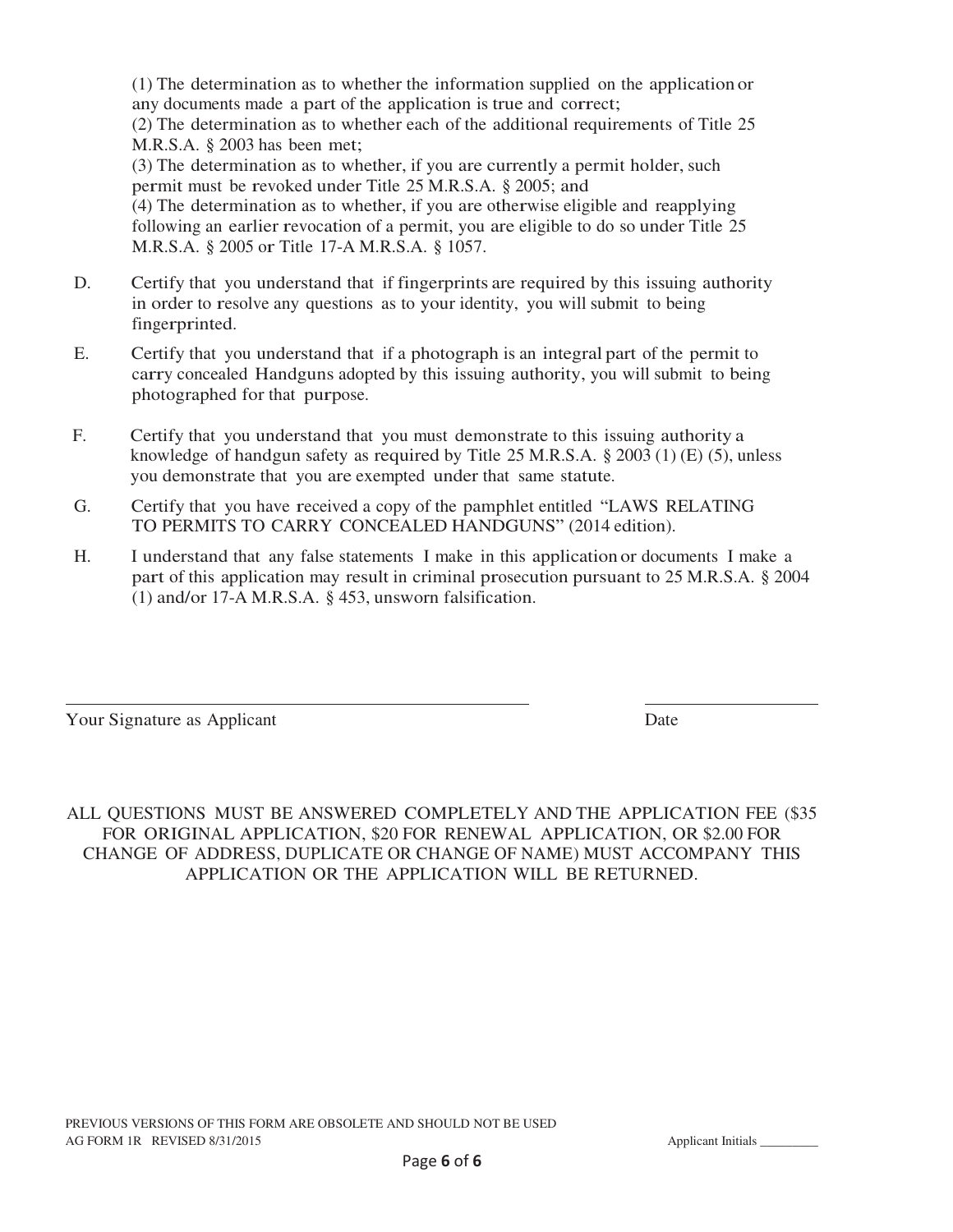(1) The determination as to whether the information supplied on the application or any documents made a part of the application is true and correct; (2) The determination as to whether each of the additional requirements of Title 25 M.R.S.A. § 2003 has been met; (3) The determination as to whether, if you are currently a permit holder, such permit must be revoked under Title 25 M.R.S.A. § 2005; and (4) The determination as to whether, if you are otherwise eligible and reapplying following an earlier revocation of a permit, you are eligible to do so under Title 25 M.R.S.A. § 2005 or Title 17-A M.R.S.A. § 1057.

- D. Certify that you understand that if fingerprints are required by this issuing authority in order to resolve any questions as to your identity, you will submit to being fingerprinted.
- E. Certify that you understand that if a photograph is an integral part of the permit to carry concealed Handguns adopted by this issuing authority, you will submit to being photographed for that purpose.
- F. Certify that you understand that you must demonstrate to this issuing authority a knowledge of handgun safety as required by Title 25 M.R.S.A. § 2003 (1) (E) (5), unless you demonstrate that you are exempted under that same statute.
- G. Certify that you have received a copy of the pamphlet entitled "LAWS RELATING TO PERMITS TO CARRY CONCEALED HANDGUNS" (2014 edition).
- H. I understand that any false statements I make in this application or documents I make a part of this application may result in criminal prosecution pursuant to 25 M.R.S.A. § 2004 (1) and/or 17-A M.R.S.A. § 453, unsworn falsification.

 $\overline{a}$ 

Your Signature as Applicant Date Date Date Date Date

ALL QUESTIONS MUST BE ANSWERED COMPLETELY AND THE APPLICATION FEE (\$35 FOR ORIGINAL APPLICATION, \$20 FOR RENEWAL APPLICATION, OR \$2.00 FOR CHANGE OF ADDRESS, DUPLICATE OR CHANGE OF NAME) MUST ACCOMPANY THIS APPLICATION OR THE APPLICATION WILL BE RETURNED.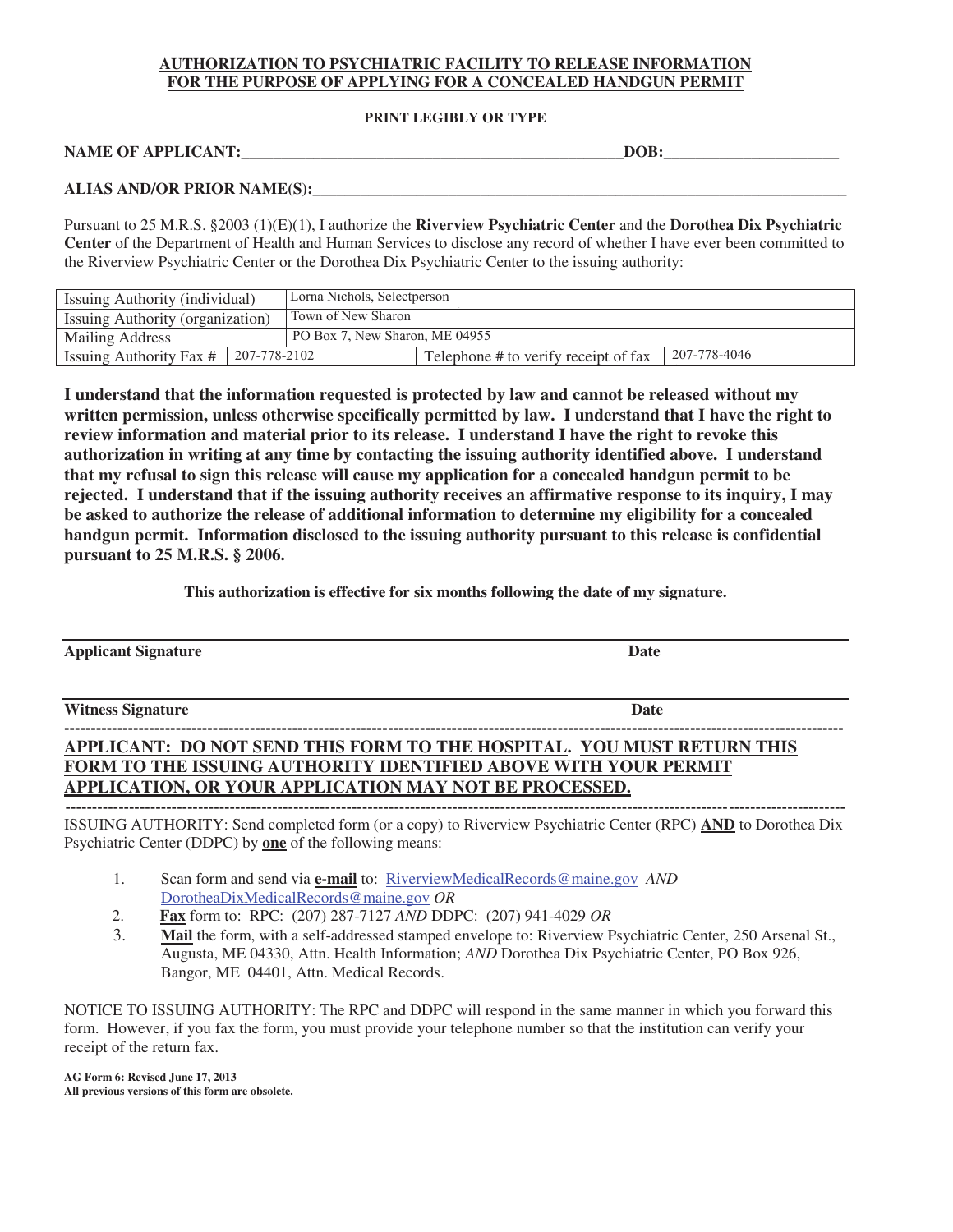#### **AUTHORIZATION TO PSYCHIATRIC FACILITY TO RELEASE INFORMATION FOR THE PURPOSE OF APPLYING FOR A CONCEALED HANDGUN PERMIT**

#### **PRINT LEGIBLY OR TYPE**

NAME OF APPLICANT: The set of  $\overline{D}$  and  $\overline{D}$  and  $\overline{D}$  and  $\overline{D}$   $\overline{D}$   $\overline{D}$   $\overline{D}$   $\overline{D}$   $\overline{D}$   $\overline{D}$   $\overline{D}$   $\overline{D}$   $\overline{D}$   $\overline{D}$   $\overline{D}$   $\overline{D}$   $\overline{D}$   $\overline{D}$   $\overline{D}$   $\overline{D}$ 

#### **ALIAS AND/OR PRIOR NAME(S):\_\_\_\_\_\_\_\_\_\_\_\_\_\_\_\_\_\_\_\_\_\_\_\_\_\_\_\_\_\_\_\_\_\_\_\_\_\_\_\_\_\_\_\_\_\_\_\_\_\_\_\_\_\_\_\_\_\_\_\_\_\_\_\_\_\_\_**

Pursuant to 25 M.R.S. §2003 (1)(E)(1), I authorize the **Riverview Psychiatric Center** and the **Dorothea Dix Psychiatric Center** of the Department of Health and Human Services to disclose any record of whether I have ever been committed to the Riverview Psychiatric Center or the Dorothea Dix Psychiatric Center to the issuing authority:

| Issuing Authority (individual)                 | Lorna Nichols, Selectperson    |                                      |              |
|------------------------------------------------|--------------------------------|--------------------------------------|--------------|
| Issuing Authority (organization)               | Town of New Sharon             |                                      |              |
| <b>Mailing Address</b>                         | PO Box 7, New Sharon, ME 04955 |                                      |              |
| 207-778-2102<br><b>Issuing Authority Fax #</b> |                                | Telephone # to verify receipt of fax | 207-778-4046 |

**I understand that the information requested is protected by law and cannot be released without my written permission, unless otherwise specifically permitted by law. I understand that I have the right to review information and material prior to its release. I understand I have the right to revoke this authorization in writing at any time by contacting the issuing authority identified above. I understand that my refusal to sign this release will cause my application for a concealed handgun permit to be rejected. I understand that if the issuing authority receives an affirmative response to its inquiry, I may be asked to authorize the release of additional information to determine my eligibility for a concealed handgun permit. Information disclosed to the issuing authority pursuant to this release is confidential pursuant to 25 M.R.S. § 2006.**

**This authorization is effective for six months following the date of my signature.** 

| <b>Applicant Signature</b>                                                                                                                                                                                 | <b>Date</b>                                                                                                                                                                                                                                                                                                                                                                                                                       |
|------------------------------------------------------------------------------------------------------------------------------------------------------------------------------------------------------------|-----------------------------------------------------------------------------------------------------------------------------------------------------------------------------------------------------------------------------------------------------------------------------------------------------------------------------------------------------------------------------------------------------------------------------------|
| <b>Witness Signature</b>                                                                                                                                                                                   | <b>Date</b>                                                                                                                                                                                                                                                                                                                                                                                                                       |
| APPLICANT: DO NOT SEND THIS FORM TO THE HOSPITAL. YOU MUST RETURN THIS<br><b>FORM TO THE ISSUING AUTHORITY IDENTIFIED ABOVE WITH YOUR PERMIT</b><br>APPLICATION, OR YOUR APPLICATION MAY NOT BE PROCESSED. |                                                                                                                                                                                                                                                                                                                                                                                                                                   |
|                                                                                                                                                                                                            | $R_{\text{C}}$ $\Lambda_{\text{H}}$ $\Lambda_{\text{H}}$ $\Lambda_{\text{H}}$ $\Lambda_{\text{H}}$ $\Lambda_{\text{H}}$ $\Lambda_{\text{H}}$ $\Lambda_{\text{H}}$ $\Lambda_{\text{H}}$ $\Lambda_{\text{H}}$ $\Lambda_{\text{H}}$ $\Lambda_{\text{H}}$ $\Lambda_{\text{H}}$ $\Lambda_{\text{H}}$ $\Lambda_{\text{H}}$ $\Lambda_{\text{H}}$ $\Lambda_{\text{H}}$ $\Lambda_{\text{H}}$ $\Lambda_{\text{H}}$ $\Lambda_{\text{H}}$ $\$ |

ISSUING AUTHORITY: Send completed form (or a copy) to Riverview Psychiatric Center (RPC) **AND** to Dorothea Dix Psychiatric Center (DDPC) by **one** of the following means:

- 1. Scan form and send via **e-mail** to: RiverviewMedicalRecords@maine.gov *AND* DorotheaDixMedicalRecords@maine.gov *OR*
- 2. **Fax** form to: RPC: (207) 287-7127 *AND* DDPC: (207) 941-4029 *OR*
- Mail the form, with a self-addressed stamped envelope to: Riverview Psychiatric Center, 250 Arsenal St., Augusta, ME 04330, Attn. Health Information; *AND* Dorothea Dix Psychiatric Center, PO Box 926, Bangor, ME 04401, Attn. Medical Records.

NOTICE TO ISSUING AUTHORITY: The RPC and DDPC will respond in the same manner in which you forward this form. However, if you fax the form, you must provide your telephone number so that the institution can verify your receipt of the return fax.

**AG Form 6: Revised June 17, 2013 All previous versions of this form are obsolete.**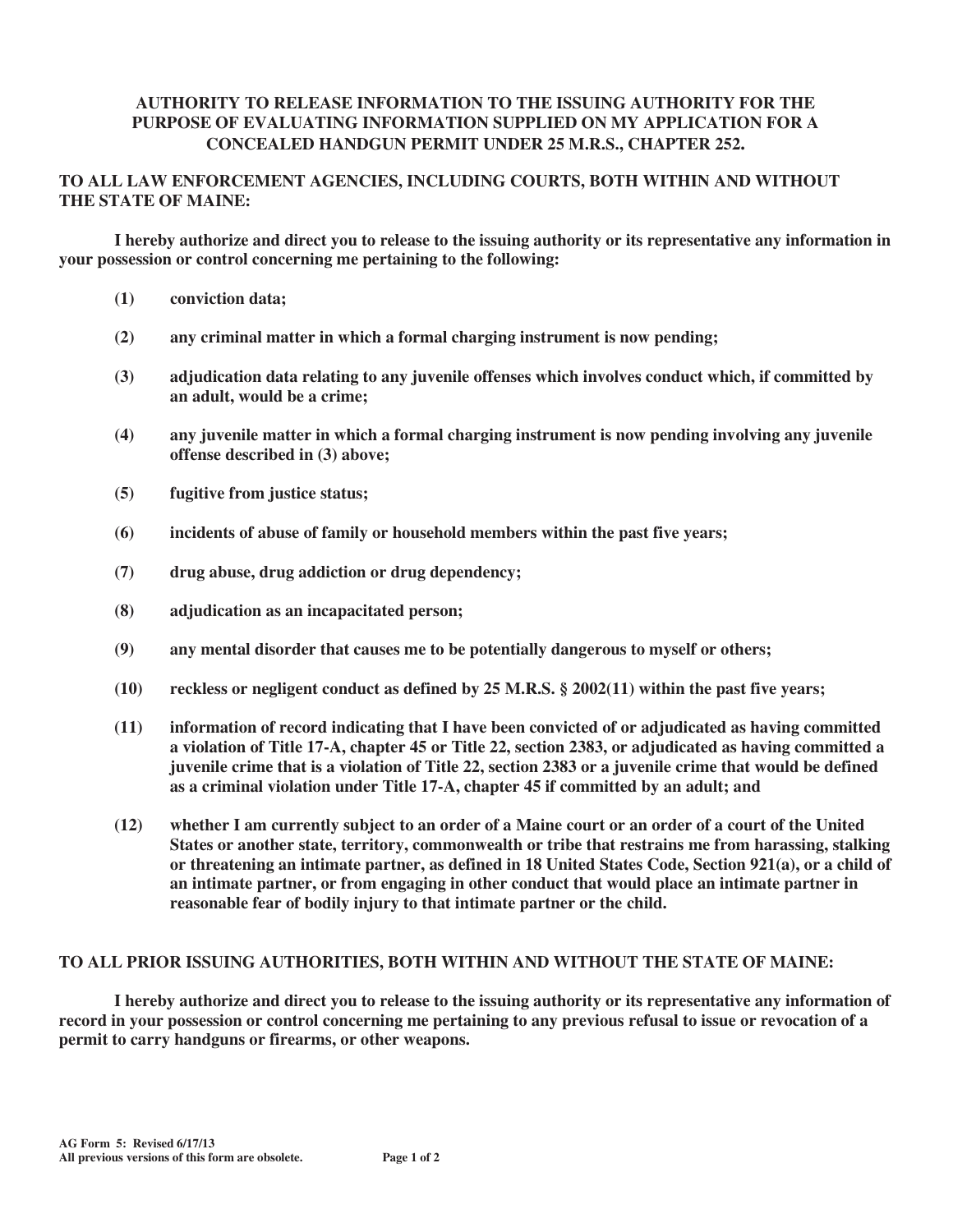#### **AUTHORITY TO RELEASE INFORMATION TO THE ISSUING AUTHORITY FOR THE PURPOSE OF EVALUATING INFORMATION SUPPLIED ON MY APPLICATION FOR A CONCEALED HANDGUN PERMIT UNDER 25 M.R.S., CHAPTER 252.**

#### **TO ALL LAW ENFORCEMENT AGENCIES, INCLUDING COURTS, BOTH WITHIN AND WITHOUT THE STATE OF MAINE:**

**I hereby authorize and direct you to release to the issuing authority or its representative any information in your possession or control concerning me pertaining to the following:** 

- **(1) conviction data;**
- **(2) any criminal matter in which a formal charging instrument is now pending;**
- **(3) adjudication data relating to any juvenile offenses which involves conduct which, if committed by an adult, would be a crime;**
- **(4) any juvenile matter in which a formal charging instrument is now pending involving any juvenile offense described in (3) above;**
- **(5) fugitive from justice status;**
- **(6) incidents of abuse of family or household members within the past five years;**
- **(7) drug abuse, drug addiction or drug dependency;**
- **(8) adjudication as an incapacitated person;**
- **(9) any mental disorder that causes me to be potentially dangerous to myself or others;**
- **(10) reckless or negligent conduct as defined by 25 M.R.S. § 2002(11) within the past five years;**
- **(11) information of record indicating that I have been convicted of or adjudicated as having committed a violation of Title 17-A, chapter 45 or Title 22, section 2383, or adjudicated as having committed a juvenile crime that is a violation of Title 22, section 2383 or a juvenile crime that would be defined as a criminal violation under Title 17-A, chapter 45 if committed by an adult; and**
- **(12) whether I am currently subject to an order of a Maine court or an order of a court of the United States or another state, territory, commonwealth or tribe that restrains me from harassing, stalking or threatening an intimate partner, as defined in 18 United States Code, Section 921(a), or a child of an intimate partner, or from engaging in other conduct that would place an intimate partner in reasonable fear of bodily injury to that intimate partner or the child.**

#### **TO ALL PRIOR ISSUING AUTHORITIES, BOTH WITHIN AND WITHOUT THE STATE OF MAINE:**

 **I hereby authorize and direct you to release to the issuing authority or its representative any information of record in your possession or control concerning me pertaining to any previous refusal to issue or revocation of a permit to carry handguns or firearms, or other weapons.**